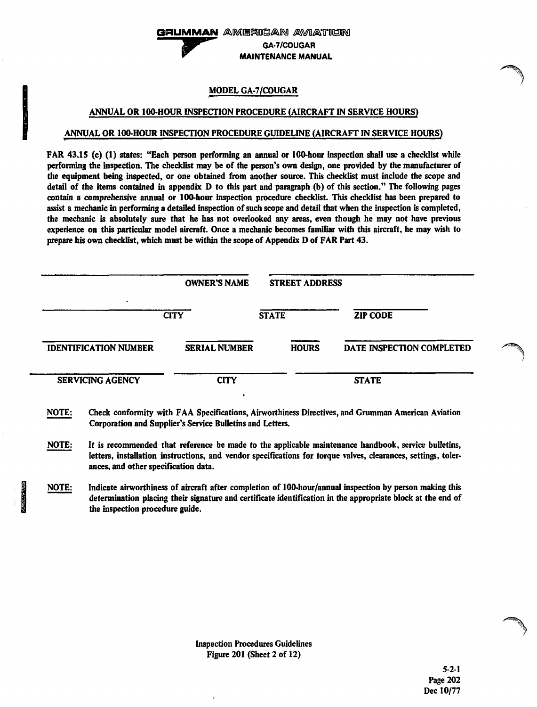### MODEL GA-7/COUGAR

#### ANNUAL OR 1 00-HOUR INSPECTION PROCEDURE (AIRCRAFT IN SERVICE HOURS)

### ANNUAL OR 100-HOUR INSPECTION PROCEDURE GUIDELINE (AIRCRAFT IN SERVICE HOURS)

FAR 43.15 (c) (1} states: "Each person performing an annual or 100-hour inspection shall use a checklist while performing the inspection. The checklist may be of the person's own design, one provided by the manufacturer of the equipment being inspected, or one obtained from another source. This checklist must include the scope and detail of the items contained in appendix D to this part and paragraph (b) of this section." The following pages contain a comprehensive annual or 100-hour inspection procedure checklist. This checklist has been prepared to assist a mechanic in performing a detailed inspection of such scope and detail that when the inspection is completed, the mechanic is absolutely sure that he has not overlooked any areas, even though he may not have previous experience on this particular model aircraft. Once a mechanic becomes familiar with this aircraft, he may wish to prepare his own checklist, which must be within the scope of Appendix D of FAR Part 43.

|                              | <b>OWNER'S NAME</b>  | <b>STREET ADDRESS</b> |                           |
|------------------------------|----------------------|-----------------------|---------------------------|
| ۰                            | <b>CITY</b>          | <b>STATE</b>          | <b>ZIP CODE</b>           |
| <b>IDENTIFICATION NUMBER</b> | <b>SERIAL NUMBER</b> | <b>HOURS</b>          | DATE INSPECTION COMPLETED |
| <b>SERVICING AGENCY</b>      | <b>CITY</b>          |                       | <b>STATE</b>              |

- NOTE: Check conformity with FAA Specifications, Airworthiness Directives, and Grumman American Aviation Corporation and Supplier's Service Bulletins and Letters.
- NOTE: It is recommended that reference be made to the applicable maintenance handbook, service bulletins, letters, installation instructions, and vendor specifications for torque valves, clearances, settings, tolerances, and other specification data.
- **Indiana** NOTE: Indicate airworthiness of aircraft after completion of 100-hour/annual inspection by person making this determination placing their signature and certificate identification in the appropriate block at *the* end of the inspection procedure guide.

 $\rightarrow$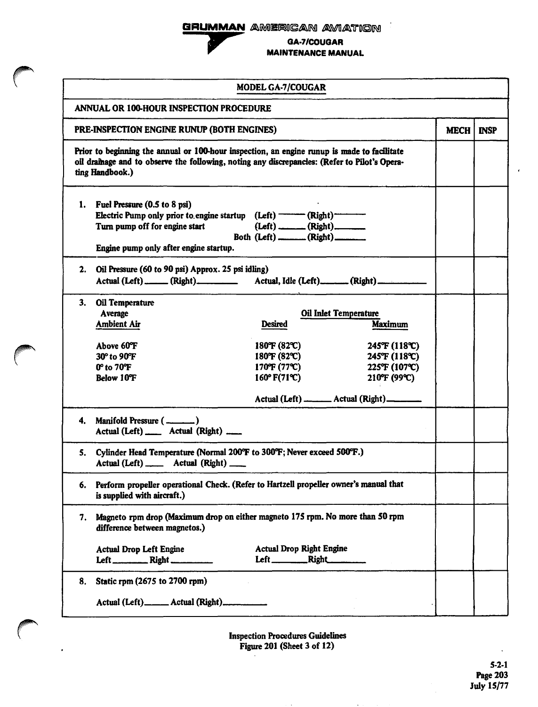**GRUMMAN GRUMMAN** AMERICA american aviation .



GA-7/COUGAR MAINTENANCE MANUAL

|    |                                                                                                                                                                                                                 | <b>MODEL GA-7/COUGAR</b>                                |                                                |             |             |
|----|-----------------------------------------------------------------------------------------------------------------------------------------------------------------------------------------------------------------|---------------------------------------------------------|------------------------------------------------|-------------|-------------|
|    | <b>ANNUAL OR 100-HOUR INSPECTION PROCEDURE</b>                                                                                                                                                                  |                                                         |                                                |             |             |
|    | PRE-INSPECTION ENGINE RUNUP (BOTH ENGINES)                                                                                                                                                                      |                                                         |                                                | <b>MECH</b> | <b>INSP</b> |
|    | Prior to beginning the annual or 100-hour inspection, an engine runup is made to facilitate<br>oil drainage and to observe the following, noting any discrepancies: (Refer to Pilot's Opera-<br>ting Handbook.) |                                                         |                                                |             |             |
|    | 1. Fuel Pressure (0.5 to 8 psi)                                                                                                                                                                                 |                                                         |                                                |             |             |
|    | Electric Pump only prior to engine startup $(Left)$ ——— $(Right)$ ——<br>Turn pump off for engine start                                                                                                          | $(Left)$ (Right)<br>Both (Left) _______ (Right) _______ |                                                |             |             |
|    | Engine pump only after engine startup.                                                                                                                                                                          |                                                         |                                                |             |             |
| 2. | Oil Pressure (60 to 90 psi) Approx. 25 psi idling)<br>Actual (Left) _____ (Right) _________ Actual, Idle (Left) ______ (Right) ________                                                                         |                                                         |                                                |             |             |
| 3. | Oil Temperature<br>Average<br><b>Ambient Air</b>                                                                                                                                                                | <b>Desired</b>                                          | <b>Oil Inlet Temperature</b><br><b>Maximum</b> |             |             |
|    |                                                                                                                                                                                                                 |                                                         |                                                |             |             |
|    | Above 60°F<br>30° to 90°F                                                                                                                                                                                       | 180°F (82°C)<br>180°F (82°C)                            | 245°F (118°C)<br>245°F (118°C)                 |             |             |
|    | 0° to 70°F                                                                                                                                                                                                      | 170°F (77°C)                                            | 225°F (107°C)                                  |             |             |
|    | <b>Below 10°F</b>                                                                                                                                                                                               | 160° F(71°C)                                            | 210°F (99°C)                                   |             |             |
|    |                                                                                                                                                                                                                 |                                                         | Actual (Left) _______ Actual (Right) _______   |             |             |
|    | Actual (Left) _____ Actual (Right) ____                                                                                                                                                                         |                                                         |                                                |             |             |
| 5. | Cylinder Head Temperature (Normal 200°F to 300°F; Never exceed 500°F.)<br>Actual (Left) ______ Actual (Right) ____                                                                                              |                                                         |                                                |             |             |
| 6. | Perform propeller operational Check. (Refer to Hartzell propeller owner's manual that<br>is supplied with aircraft.)                                                                                            |                                                         |                                                |             |             |
| 7. | Magneto rpm drop (Maximum drop on either magneto 175 rpm. No more than 50 rpm<br>difference between magnetos.)                                                                                                  |                                                         |                                                |             |             |
|    | <b>Actual Drop Left Engine</b>                                                                                                                                                                                  | <b>Actual Drop Right Engine</b>                         |                                                |             |             |
| 8. | Static rpm (2675 to 2700 rpm)                                                                                                                                                                                   |                                                         |                                                |             |             |
|    | Actual (Left)_____ Actual (Right)_________                                                                                                                                                                      |                                                         |                                                |             |             |

Inspection Procedures Guidelines Figure 201 (Sheet 3 of 12)  $\epsilon$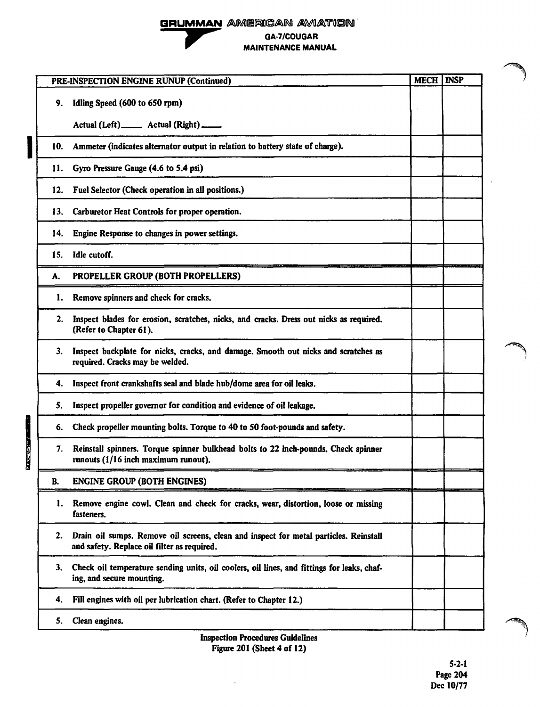# GRUMMAN AMERICAN AVIATION GA·7/COUGAR MAINTENANCE MANUAL

|           | PRE-INSPECTION ENGINE RUNUP (Continued)                                                                                              | <b>MECH   INSP</b> |  |
|-----------|--------------------------------------------------------------------------------------------------------------------------------------|--------------------|--|
| 9.        | Idling Speed (600 to 650 rpm)                                                                                                        |                    |  |
|           | Actual (Left) _______ Actual (Right) _____                                                                                           |                    |  |
| 10.       | Ammeter (indicates alternator output in relation to battery state of charge).                                                        |                    |  |
| 11.       | Gyro Pressure Gauge (4.6 to 5.4 psi)                                                                                                 |                    |  |
| 12.       | Fuel Selector (Check operation in all positions.)                                                                                    |                    |  |
| 13.       | Carburetor Heat Controls for proper operation.                                                                                       |                    |  |
| 14.       | Engine Response to changes in power settings.                                                                                        |                    |  |
| 15.       | Idle cutoff.                                                                                                                         |                    |  |
| А.        | PROPELLER GROUP (BOTH PROPELLERS)                                                                                                    |                    |  |
| 1.        | Remove spinners and check for cracks.                                                                                                |                    |  |
| 2.        | Inspect blades for erosion, scratches, nicks, and cracks. Dress out nicks as required.<br>(Refer to Chapter 61).                     |                    |  |
| 3.        | Inspect backplate for nicks, cracks, and damage. Smooth out nicks and scratches as<br>required. Cracks may be welded.                |                    |  |
| 4.        | Inspect front crankshafts seal and blade hub/dome area for oil leaks.                                                                |                    |  |
| 5.        | Inspect propeller governor for condition and evidence of oil leakage.                                                                |                    |  |
| 6.        | Check propeller mounting bolts. Torque to 40 to 50 foot-pounds and safety.                                                           |                    |  |
| 7.        | Reinstall spinners. Torque spinner bulkhead bolts to 22 inch-pounds. Check spinner<br>runouts (1/16 inch maximum runout).            |                    |  |
| <b>B.</b> | <b>ENGINE GROUP (BOTH ENGINES)</b>                                                                                                   |                    |  |
| 1.        | Remove engine cowl. Clean and check for cracks, wear, distortion, loose or missing<br>fasteners.                                     |                    |  |
| 2.        | Drain oil sumps. Remove oil screens, clean and inspect for metal particles. Reinstall<br>and safety. Replace oil filter as required. |                    |  |
| 3.        | Check oil temperature sending units, oil coolers, oil lines, and fittings for leaks, chaf-<br>ing, and secure mounting.              |                    |  |
| 4.        | Fill engines with oil per lubrication chart. (Refer to Chapter 12.)                                                                  |                    |  |
| 5.        | Clean engines.                                                                                                                       |                    |  |
|           |                                                                                                                                      |                    |  |

Inspection Procedures Guidelines Figure 201 (Sheet 4 of 12)

I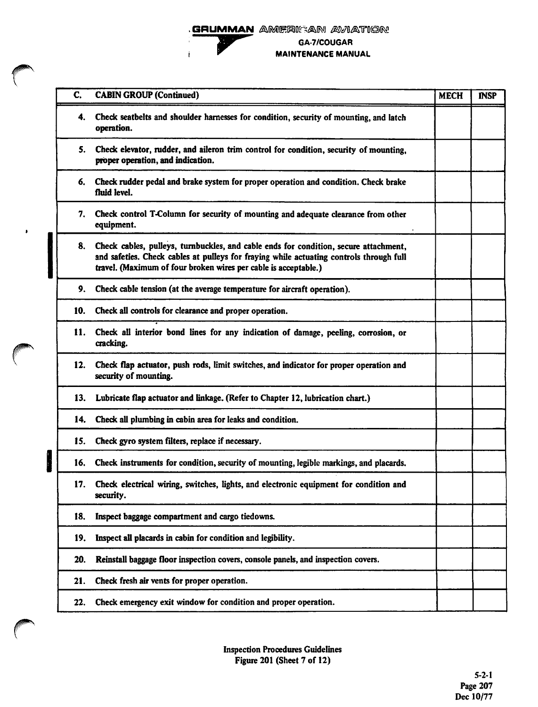

 $\bullet$ 

**GRUMMAN** AMERICAN AVIATION GA-7/COUGAR MAINTENANCE MANUAL

|        | C.  | <b>CABIN GROUP (Continued)</b>                                                                                                                                                                                                                     | <b>MECH</b> | <b>INSP</b> |
|--------|-----|----------------------------------------------------------------------------------------------------------------------------------------------------------------------------------------------------------------------------------------------------|-------------|-------------|
|        | 4.  | Check seatbelts and shoulder harnesses for condition, security of mounting, and latch<br>operation.                                                                                                                                                |             |             |
|        | 5.  | Check elevator, rudder, and aileron trim control for condition, security of mounting,<br>proper operation, and indication.                                                                                                                         |             |             |
|        | 6.  | Check rudder pedal and brake system for proper operation and condition. Check brake<br>fluid level.                                                                                                                                                |             |             |
|        | 7.  | Check control T-Column for security of mounting and adequate clearance from other<br>equipment.                                                                                                                                                    |             |             |
|        | 8.  | Check cables, pulleys, turnbuckles, and cable ends for condition, secure attachment,<br>and safeties. Check cables at pulleys for fraying while actuating controls through full<br>travel. (Maximum of four broken wires per cable is acceptable.) |             |             |
|        | 9.  | Check cable tension (at the average temperature for aircraft operation).                                                                                                                                                                           |             |             |
|        | 10. | Check all controls for clearance and proper operation.                                                                                                                                                                                             |             |             |
|        | 11. | Check all interior bond lines for any indication of damage, peeling, corrosion, or<br>cracking.                                                                                                                                                    |             |             |
|        | 12. | Check flap actuator, push rods, limit switches, and indicator for proper operation and<br>security of mounting.                                                                                                                                    |             |             |
|        | 13. | Lubricate flap actuator and linkage. (Refer to Chapter 12, lubrication chart.)                                                                                                                                                                     |             |             |
|        | 14. | Check all plumbing in cabin area for leaks and condition.                                                                                                                                                                                          |             |             |
|        | 15. | Check gyro system filters, replace if necessary.                                                                                                                                                                                                   |             |             |
| l<br>L | 16. | Check instruments for condition, security of mounting, legible markings, and placards.                                                                                                                                                             |             |             |
|        | 17. | Check electrical wiring, switches, lights, and electronic equipment for condition and<br>security.                                                                                                                                                 |             |             |
|        | 18. | Inspect baggage compartment and cargo tiedowns.                                                                                                                                                                                                    |             |             |
|        | 19. | Inspect all placards in cabin for condition and legibility.                                                                                                                                                                                        |             |             |
|        | 20. | Reinstall baggage floor inspection covers, console panels, and inspection covers.                                                                                                                                                                  |             |             |
|        | 21. | Check fresh air vents for proper operation.                                                                                                                                                                                                        |             |             |
|        | 22. | Check emergency exit window for condition and proper operation.                                                                                                                                                                                    |             |             |
|        |     |                                                                                                                                                                                                                                                    |             |             |

Inspection Procedures Guidelines Figure 201 (Sheet 7 of 12}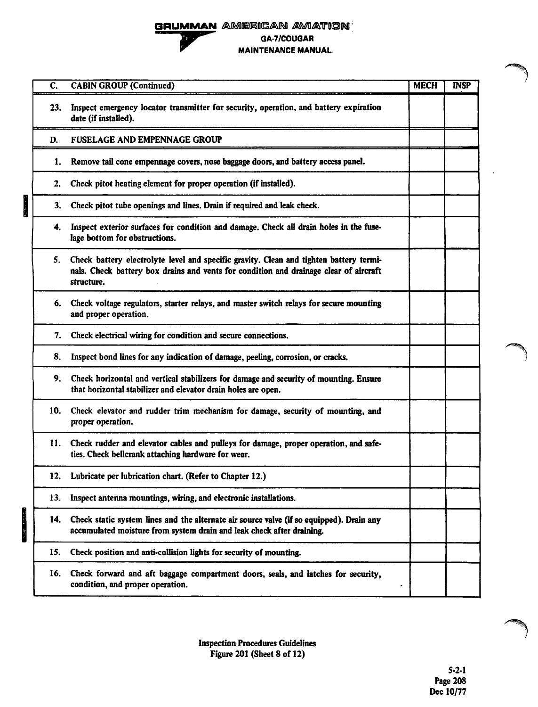## GRUMMAN AMERICAN AVIATION GA·7/COUGAR MAINTENANCE MANUAL

| $\overline{\mathsf{C}}$ . | <b>CABIN GROUP (Continued)</b>                                                                                                                                                                | <b>MECH</b> | <b>INSP</b> |
|---------------------------|-----------------------------------------------------------------------------------------------------------------------------------------------------------------------------------------------|-------------|-------------|
| 23.                       | Inspect emergency locator transmitter for security, operation, and battery expiration<br>date (if installed).                                                                                 |             |             |
| D.                        | <b>FUSELAGE AND EMPENNAGE GROUP</b>                                                                                                                                                           |             |             |
| 1.                        | Remove tail cone empennage covers, nose baggage doors, and battery access panel.                                                                                                              |             |             |
| 2.                        | Check pitot heating element for proper operation (if installed).                                                                                                                              |             |             |
| 3.                        | Check pitot tube openings and lines. Drain if required and leak check.                                                                                                                        |             |             |
| 4.                        | Inspect exterior surfaces for condition and damage. Check all drain holes in the fuse-<br>lage bottom for obstructions.                                                                       |             |             |
| 5.                        | Check battery electrolyte level and specific gravity. Clean and tighten battery termi-<br>nals. Check battery box drains and vents for condition and drainage clear of aircraft<br>structure. |             |             |
|                           | 6. Check voltage regulators, starter relays, and master switch relays for secure mounting<br>and proper operation.                                                                            |             |             |
| 7.                        | Check electrical wiring for condition and secure connections.                                                                                                                                 |             |             |
| 8.                        | Inspect bond lines for any indication of damage, peeling, corrosion, or cracks.                                                                                                               |             |             |
| 9.                        | Check horizontal and vertical stabilizers for damage and security of mounting. Ensure<br>that horizontal stabilizer and elevator drain holes are open.                                        |             |             |
| 10.                       | Check elevator and rudder trim mechanism for damage, security of mounting, and<br>proper operation.                                                                                           |             |             |
| 11.                       | Check rudder and elevator cables and pulleys for damage, proper operation, and safe-<br>ties. Check bellcrank attaching hardware for wear.                                                    |             |             |
|                           | 12. Lubricate per lubrication chart. (Refer to Chapter 12.)                                                                                                                                   |             |             |
| 13.                       | Inspect antenna mountings, wiring, and electronic installations.                                                                                                                              |             |             |
| 14.                       | Check static system lines and the alternate air source valve (if so equipped). Drain any<br>accumulated moisture from system drain and leak check after draining.                             |             |             |
| 15.                       | Check position and anti-collision lights for security of mounting.                                                                                                                            |             |             |
| 16.                       | Check forward and aft baggage compartment doors, seals, and latches for security,<br>condition, and proper operation.                                                                         |             |             |

I 14.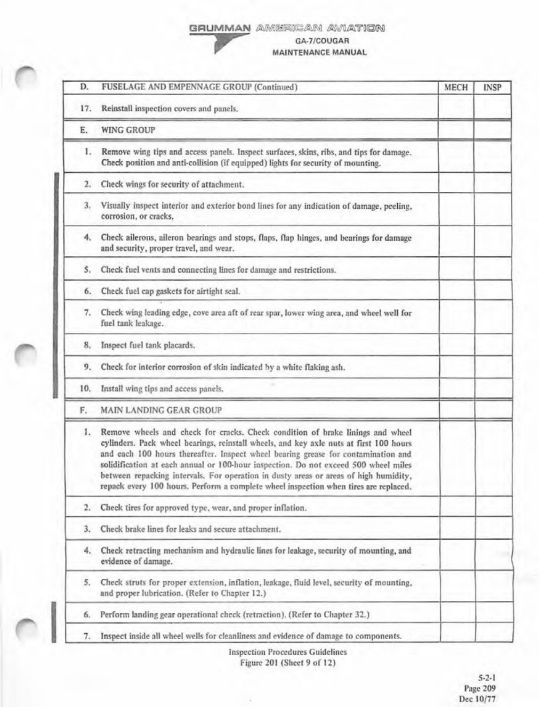### GRUMMAN AMERICAN AVIATION



GA-7/COUGAR MAINTENANCE MANUAL

| D.  | FUSELAGE AND EMPENNAGE GROUP (Continued)                                                                                                                                                                                                                                                                                                                                                                                                                                                                                             | MECH | <b>INSP</b> |
|-----|--------------------------------------------------------------------------------------------------------------------------------------------------------------------------------------------------------------------------------------------------------------------------------------------------------------------------------------------------------------------------------------------------------------------------------------------------------------------------------------------------------------------------------------|------|-------------|
| 17. | Reinstall inspection covers and panels.                                                                                                                                                                                                                                                                                                                                                                                                                                                                                              |      |             |
| Е.  | <b>WING GROUP</b>                                                                                                                                                                                                                                                                                                                                                                                                                                                                                                                    |      |             |
| 1.  | Remove wing tips and access panels. Inspect surfaces, skins, ribs, and tips for damage.<br>Check position and anti-collision (if equipped) lights for security of mounting.                                                                                                                                                                                                                                                                                                                                                          |      |             |
| 2.  | Check wings for security of attachment.                                                                                                                                                                                                                                                                                                                                                                                                                                                                                              |      |             |
| 3.  | Visually inspect interior and exterior bond lines for any indication of damage, peeling,<br>corrosion, or cracks.                                                                                                                                                                                                                                                                                                                                                                                                                    |      |             |
| 4.  | Check ailerons, aileron bearings and stops, flaps, flap hinges, and bearings for damage<br>and security, proper travel, and wear.                                                                                                                                                                                                                                                                                                                                                                                                    |      |             |
| 5.  | Check fuel vents and connecting lines for damage and restrictions.                                                                                                                                                                                                                                                                                                                                                                                                                                                                   |      |             |
| 6.  | Check fuel cap gaskets for airtight seal.                                                                                                                                                                                                                                                                                                                                                                                                                                                                                            |      |             |
| 7.  | Check wing leading edge, cove area aft of rear spar, lower wing area, and wheel well for<br>fuel tank leakage.                                                                                                                                                                                                                                                                                                                                                                                                                       |      |             |
| 8.  | Inspect fuel tank placards.                                                                                                                                                                                                                                                                                                                                                                                                                                                                                                          |      |             |
| 9.  | Check for interior corrosion of skin indicated by a white flaking ash.                                                                                                                                                                                                                                                                                                                                                                                                                                                               |      |             |
|     | 10. Install wing tips and access panels.                                                                                                                                                                                                                                                                                                                                                                                                                                                                                             |      |             |
| F.  | <b>MAIN LANDING GEAR GROUP</b>                                                                                                                                                                                                                                                                                                                                                                                                                                                                                                       |      |             |
| 1.  | Remove wheels and check for cracks. Check condition of brake linings and wheel<br>cylinders. Pack wheel bearings, reinstall wheels, and key axle nuts at first 100 hours<br>and each 100 hours thereafter. Inspect wheel bearing grease for contamination and<br>solidification at each annual or 100-hour inspection. Do not exceed 500 wheel miles<br>between repacking intervals. For operation in dusty areas or areas of high humidity,<br>repack every 100 hours. Perform a complete wheel inspection when tires are replaced. |      |             |
| 2.  | Check tires for approved type, wear, and proper inflation.                                                                                                                                                                                                                                                                                                                                                                                                                                                                           |      |             |
| 3.  | Check brake lines for leaks and secure attachment.                                                                                                                                                                                                                                                                                                                                                                                                                                                                                   |      |             |
| 4.  | Check retracting mechanism and hydraulic lines for leakage, security of mounting, and<br>evidence of damage.                                                                                                                                                                                                                                                                                                                                                                                                                         |      |             |
| 5.  | Check struts for proper extension, inflation, leakage, fluid level, security of mounting,<br>and proper lubrication. (Refer to Chapter 12.)                                                                                                                                                                                                                                                                                                                                                                                          |      |             |
| б.  | Perform landing gear operational check (retraction). (Refer to Chapter 32.)                                                                                                                                                                                                                                                                                                                                                                                                                                                          |      |             |
| 7.  | Inspect inside all wheel wells for cleanliness and evidence of damage to components.                                                                                                                                                                                                                                                                                                                                                                                                                                                 |      |             |

Inspection Procedures Guidelines Figure 201 (Sheet 9 of 12)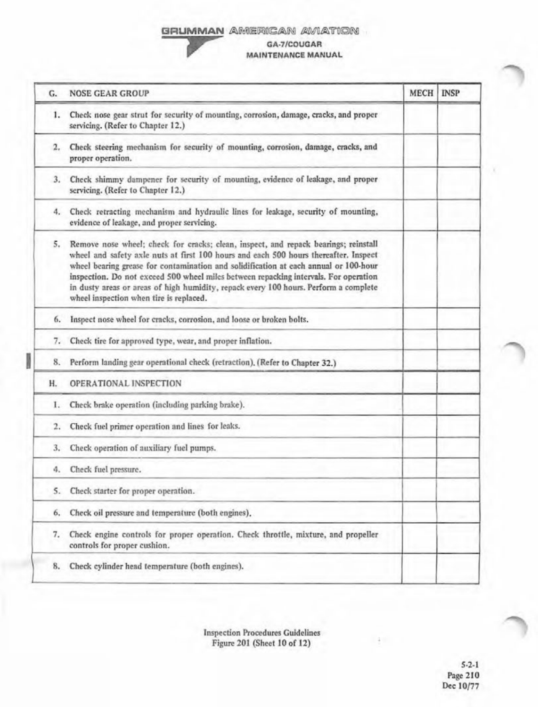# GRUMMAN AMERICAN AVIATION



### GA-7/COUGAR MAINTENANCE MANUAL

| G. | <b>NOSE GEAR GROUP</b>                                                                                                                                                                                                                                                                                                                                                                                                                                                                         | <b>MECH</b> | <b>INSP</b> |
|----|------------------------------------------------------------------------------------------------------------------------------------------------------------------------------------------------------------------------------------------------------------------------------------------------------------------------------------------------------------------------------------------------------------------------------------------------------------------------------------------------|-------------|-------------|
|    | 1. Check nose gear strut for security of mounting, corrosion, damage, cracks, and proper<br>servicing. (Refer to Chapter 12.)                                                                                                                                                                                                                                                                                                                                                                  |             |             |
| 2. | Check steering mechanism for security of mounting, corrosion, damage, cracks, and<br>proper operation.                                                                                                                                                                                                                                                                                                                                                                                         |             |             |
| 3. | Check shimmy dampener for security of mounting, evidence of leakage, and proper<br>servicing. (Refer to Chapter 12.)                                                                                                                                                                                                                                                                                                                                                                           |             |             |
|    | 4. Check retracting mechanism and hydraulic lines for leakage, security of mounting,<br>evidence of leakage, and proper servicing.                                                                                                                                                                                                                                                                                                                                                             |             |             |
| 5. | Remove nose wheel; check for cracks; clean, inspect, and repack bearings; reinstall<br>wheel and safety axle nuts at first 100 hours and each 500 hours thereafter. Inspect<br>wheel bearing grease for contamination and solidification at each annual or 100-hour<br>inspection. Do not exceed 500 wheel miles between repacking intervals. For operation<br>in dusty areas or areas of high humidity, repack every 100 hours. Perform a complete<br>wheel inspection when tire is replaced. |             |             |
| 6. | Inspect nose wheel for cracks, corrosion, and loose or broken bolts.                                                                                                                                                                                                                                                                                                                                                                                                                           |             |             |
| 7. | Check tire for approved type, wear, and proper inflation.                                                                                                                                                                                                                                                                                                                                                                                                                                      |             |             |
| 8. | Perform landing gear operational check (retraction), (Refer to Chapter 32.)                                                                                                                                                                                                                                                                                                                                                                                                                    |             |             |
| Н. | OPERATIONAL INSPECTION                                                                                                                                                                                                                                                                                                                                                                                                                                                                         |             |             |
| I. | Check brake operation (including parking brake).                                                                                                                                                                                                                                                                                                                                                                                                                                               |             |             |
| 2. | Check fuel primer operation and lines for leaks.                                                                                                                                                                                                                                                                                                                                                                                                                                               |             |             |
| 3. | Check operation of auxiliary fuel pumps.                                                                                                                                                                                                                                                                                                                                                                                                                                                       |             |             |
| 4. | Check fuel pressure.                                                                                                                                                                                                                                                                                                                                                                                                                                                                           |             |             |
| S. | Check starter for proper operation.                                                                                                                                                                                                                                                                                                                                                                                                                                                            |             |             |
| 6. | Check oil pressure and temperature (both engines).                                                                                                                                                                                                                                                                                                                                                                                                                                             |             |             |
| 7. | Check engine controls for proper operation. Check throttle, mixture, and propeller<br>controls for proper cushion.                                                                                                                                                                                                                                                                                                                                                                             |             |             |
| 8. | Check cylinder head temperature (both engines).                                                                                                                                                                                                                                                                                                                                                                                                                                                |             |             |

Inspection Procedures Guidelines Figure 201 (Sheet 10 of 12)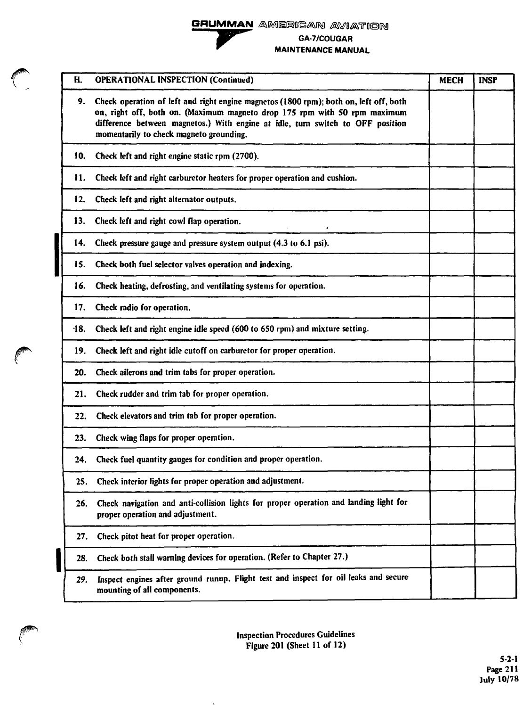# **GRUMMAN**  GRUMMAN AMERICA awerican aviation

GA-7/COUGAR ~ MAINTENANCE MANUAL

| Н.     | <b>OPERATIONAL INSPECTION (Continued)</b>                                                                                                                                                                                                                                                       | <b>MECH</b> | <b>INSP</b> |
|--------|-------------------------------------------------------------------------------------------------------------------------------------------------------------------------------------------------------------------------------------------------------------------------------------------------|-------------|-------------|
| 9.     | Check operation of left and right engine magnetos (1800 rpm); both on, left off, both<br>on, right off, both on. (Maximum magneto drop 175 rpm with 50 rpm maximum<br>difference between magnetos.) With engine at idle, turn switch to OFF position<br>momentarily to check magneto grounding. |             |             |
| 10.    | Check left and right engine static rpm (2700).                                                                                                                                                                                                                                                  |             |             |
| 11.    | Check left and right carburetor heaters for proper operation and cushion.                                                                                                                                                                                                                       |             |             |
| 12.    | Check left and right alternator outputs.                                                                                                                                                                                                                                                        |             |             |
| 13.    | Check left and right cowl flap operation.                                                                                                                                                                                                                                                       |             |             |
| 14.    | Check pressure gauge and pressure system output (4.3 to 6.1 psi).                                                                                                                                                                                                                               |             |             |
| 15.    | Check both fuel selector valves operation and indexing.                                                                                                                                                                                                                                         |             |             |
| 16.    | Check heating, defrosting, and ventilating systems for operation.                                                                                                                                                                                                                               |             |             |
| 17.    | Check radio for operation.                                                                                                                                                                                                                                                                      |             |             |
| $-18.$ | Check left and right engine idle speed (600 to 650 rpm) and mixture setting.                                                                                                                                                                                                                    |             |             |
| 19.    | Check left and right idle cutoff on carburetor for proper operation.                                                                                                                                                                                                                            |             |             |
| 20.    | Check ailerons and trim tabs for proper operation.                                                                                                                                                                                                                                              |             |             |
| 21.    | Check rudder and trim tab for proper operation.                                                                                                                                                                                                                                                 |             |             |
| 22.    | Check elevators and trim tab for proper operation.                                                                                                                                                                                                                                              |             |             |
| 23.    | Check wing flaps for proper operation.                                                                                                                                                                                                                                                          |             |             |
| 24.    | Check fuel quantity gauges for condition and proper operation.                                                                                                                                                                                                                                  |             |             |
| 25.    | Check interior lights for proper operation and adjustment.                                                                                                                                                                                                                                      |             |             |
| 26.    | Check navigation and anti-collision lights for proper operation and landing light for<br>proper operation and adjustment.                                                                                                                                                                       |             |             |
| 27.    | Check pitot heat for proper operation.                                                                                                                                                                                                                                                          |             |             |
| 28.    | Check both stall warning devices for operation. (Refer to Chapter 27.)                                                                                                                                                                                                                          |             |             |
| 29.    | Inspect engines after ground runup. Flight test and inspect for oil leaks and secure<br>mounting of all components.                                                                                                                                                                             |             |             |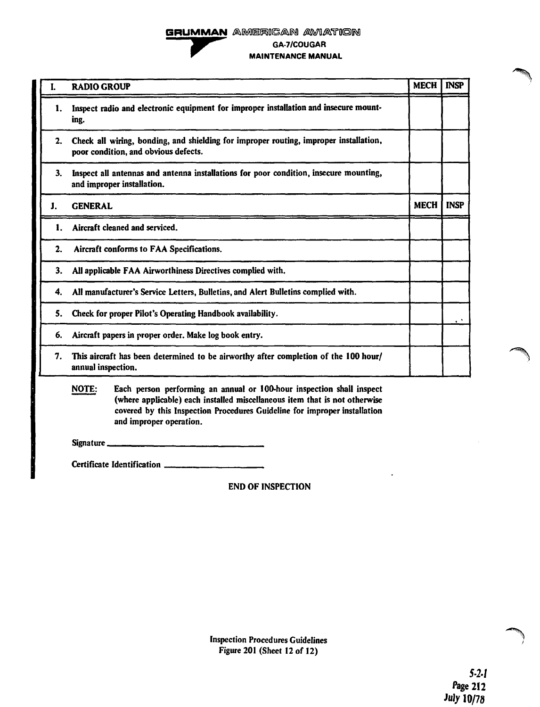### GRUMMAN AMERICAN AVIATION GA-7/COUGAR MAINTENANCE MANUAL

| I. | <b>RADIO GROUP</b>                                                                                                            | <b>MECH</b> | <b>INSP</b> |
|----|-------------------------------------------------------------------------------------------------------------------------------|-------------|-------------|
| 1. | Inspect radio and electronic equipment for improper installation and insecure mount-<br>ing.                                  |             |             |
| 2. | Check all wiring, bonding, and shielding for improper routing, improper installation,<br>poor condition, and obvious defects. |             |             |
| 3. | Inspect all antennas and antenna installations for poor condition, insecure mounting,<br>and improper installation.           |             |             |
| J. | <b>GENERAL</b>                                                                                                                | <b>MECH</b> | <b>INSP</b> |
| 1. | Aircraft cleaned and serviced.                                                                                                |             |             |
| 2. | Aircraft conforms to FAA Specifications.                                                                                      |             |             |
| 3. | All applicable FAA Airworthiness Directives complied with.                                                                    |             |             |
| 4. | All manufacturer's Service Letters, Bulletins, and Alert Bulletins complied with.                                             |             |             |
| 5. | Check for proper Pilot's Operating Handbook availability.                                                                     |             |             |
| 6. | Aircraft papers in proper order. Make log book entry.                                                                         |             |             |
| 7. | This aircraft has been determined to be airworthy after completion of the 100 hour/<br>annual inspection.                     |             |             |

NOTE: Each person performing an annual or 1 OO.hour inspection shall inspect (where applicable) each installed miscellaneous item that is not otherwise covered by this Inspection Procedures Guideline for improper installation and improper operation.

Signature

Certificate Identification

END OF INSPECTION

Inspection Procedures Guidelines Figure 201 (Sheet 12 of 12)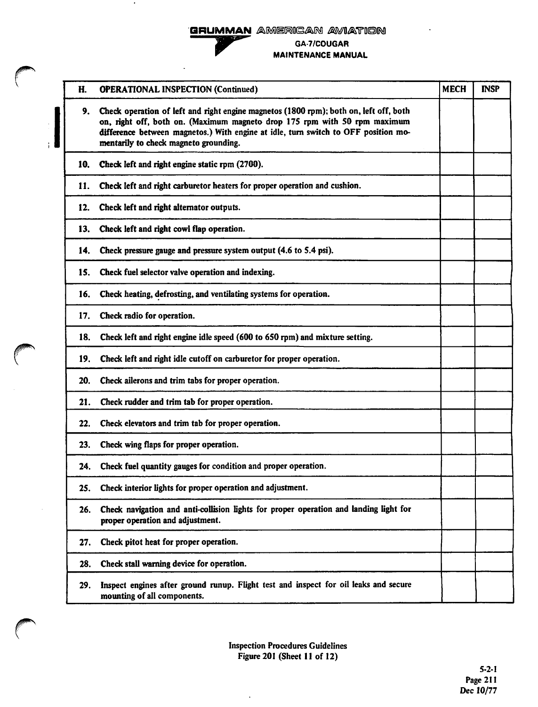



 $\bullet$ 

 $\sqrt{ }$ 

GA-7/COUGAR MAINTENANCE MANUAL

| H.  | <b>OPERATIONAL INSPECTION (Continued)</b>                                                                                                                                                                                                                                                         | <b>MECH</b> | <b>INSP</b> |
|-----|---------------------------------------------------------------------------------------------------------------------------------------------------------------------------------------------------------------------------------------------------------------------------------------------------|-------------|-------------|
| 9.  | Check operation of left and right engine magnetos (1800 rpm); both on, left off, both<br>on, right off, both on. (Maximum magneto drop 175 rpm with 50 rpm maximum<br>difference between magnetos.) With engine at idle, turn switch to OFF position mo-<br>mentarily to check magneto grounding. |             |             |
| 10. | Check left and right engine static rpm (2700).                                                                                                                                                                                                                                                    |             |             |
| 11. | Check left and right carburetor heaters for proper operation and cushion.                                                                                                                                                                                                                         |             |             |
| 12. | Check left and right alternator outputs.                                                                                                                                                                                                                                                          |             |             |
| 13. | Check left and right cowl flap operation.                                                                                                                                                                                                                                                         |             |             |
| 14. | Check pressure gauge and pressure system output (4.6 to 5.4 psi).                                                                                                                                                                                                                                 |             |             |
| 15. | Check fuel selector valve operation and indexing.                                                                                                                                                                                                                                                 |             |             |
| 16. | Check heating, defrosting, and ventilating systems for operation.                                                                                                                                                                                                                                 |             |             |
| 17. | Check radio for operation.                                                                                                                                                                                                                                                                        |             |             |
| 18. | Check left and right engine idle speed (600 to 650 rpm) and mixture setting.                                                                                                                                                                                                                      |             |             |
| 19. | Check left and right idle cutoff on carburetor for proper operation.                                                                                                                                                                                                                              |             |             |
| 20. | Check ailerons and trim tabs for proper operation.                                                                                                                                                                                                                                                |             |             |
| 21. | Check rudder and trim tab for proper operation.                                                                                                                                                                                                                                                   |             |             |
| 22. | Check elevators and trim tab for proper operation.                                                                                                                                                                                                                                                |             |             |
| 23. | Check wing flaps for proper operation.                                                                                                                                                                                                                                                            |             |             |
| 24. | Check fuel quantity gauges for condition and proper operation.                                                                                                                                                                                                                                    |             |             |
| 25. | Check interior lights for proper operation and adjustment.                                                                                                                                                                                                                                        |             |             |
| 26. | Check navigation and anti-collision lights for proper operation and landing light for<br>proper operation and adjustment.                                                                                                                                                                         |             |             |
| 27. | Check pitot heat for proper operation.                                                                                                                                                                                                                                                            |             |             |
| 28. | Check stall warning device for operation.                                                                                                                                                                                                                                                         |             |             |
| 29. | Inspect engines after ground runup. Flight test and inspect for oil leaks and secure<br>mounting of all components.                                                                                                                                                                               |             |             |
|     |                                                                                                                                                                                                                                                                                                   |             |             |

 $\bar{z}$